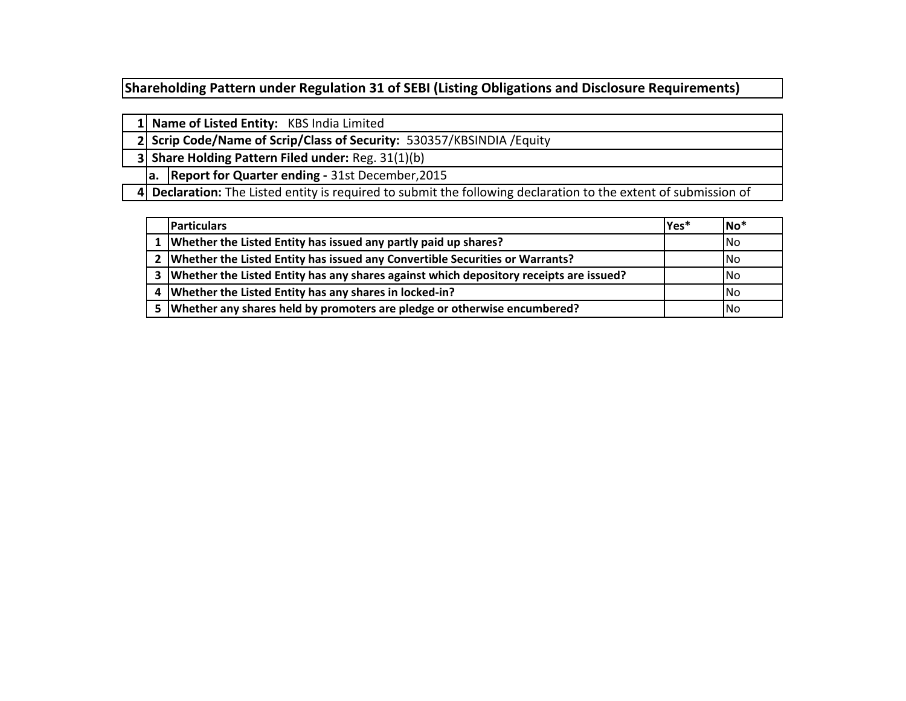**Shareholding Pattern under Regulation 31 of SEBI (Listing Obligations and Disclosure Requirements)** 

|  | 1 Name of Listed Entity: KBS India Limited                                                                      |
|--|-----------------------------------------------------------------------------------------------------------------|
|  | 2 Scrip Code/Name of Scrip/Class of Security: 530357/KBSINDIA / Equity                                          |
|  | 3 Share Holding Pattern Filed under: Reg. 31(1)(b)                                                              |
|  | a. Report for Quarter ending - 31st December, 2015                                                              |
|  | 4 Declaration: The Listed entity is required to submit the following declaration to the extent of submission of |

|   | <b>Particulars</b>                                                                     | lYes* | lNo*       |
|---|----------------------------------------------------------------------------------------|-------|------------|
|   | Whether the Listed Entity has issued any partly paid up shares?                        |       | <b>INo</b> |
|   | 2   Whether the Listed Entity has issued any Convertible Securities or Warrants?       |       | INo.       |
| 3 | Whether the Listed Entity has any shares against which depository receipts are issued? |       | INo.       |
|   | Whether the Listed Entity has any shares in locked-in?                                 |       | <b>INo</b> |
|   | Whether any shares held by promoters are pledge or otherwise encumbered?               |       | lNo        |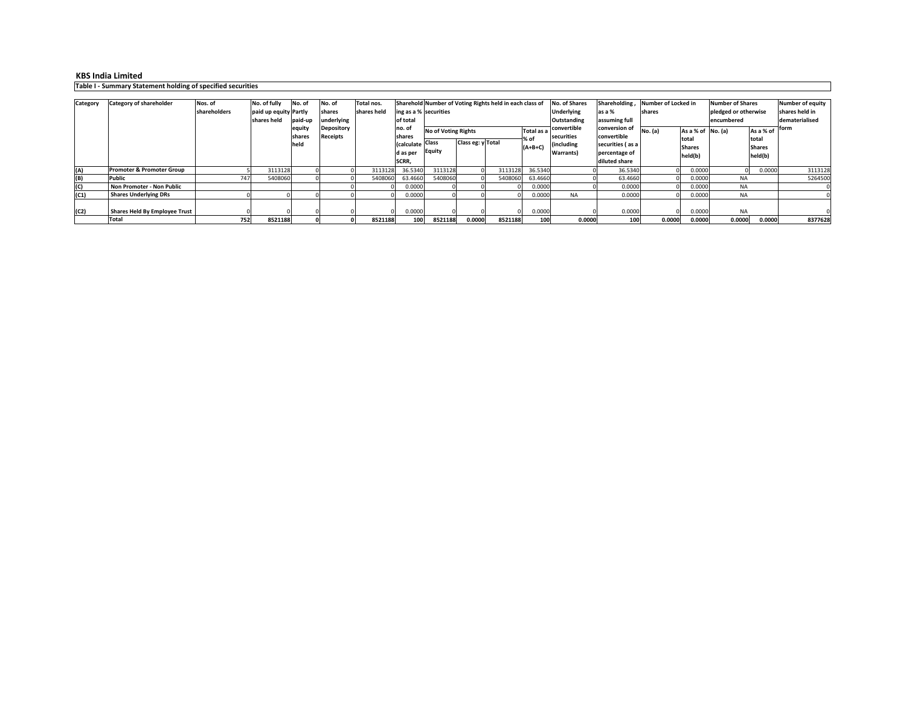**Table I - Summary Statement holding of specified securities**

**Class EquityClass eg: y Total (A) Promoter & Promoter Group**<mark>p | 5| 3113128 | 0| 0| 3113128 36.5340| 3113128| 0| 3113128| 36.5340| 0 0 00000| 0 0.0000| 0 0.0000| 0 0.0000</mark> **(B)**(B) Public<br> **Public**<br> **Public**  $\sim$  747 7 5408060 0 0 5408060 63.4660 5408060 0 5408060 63.4660 0 63.4660 0 0.0000 NA 1 5264500 **Non Promoter - Non Public** 0 00.0000 0 0 00000 0 0.0000 0 0.0000 0 0.0000 0 0.0000 0 0.0000 0 0.0000 0 0.0000 0 0 0.0000 0 0 0.000 0 0 0. **(C1) Shares Underlying DRs** $\sim$  0 0 0 0 0 0 0 0.0000 0 0 0 0.0000 NA A 0.0000 0 0.0000 NA 0 **(C2) Shares Held By Employee Trust**<u>t open of only of the compact of the compact of the compact of the compact of the compact of the compact of th</u> 0 NA 0 **Total 752 <sup>8521188</sup> <sup>0</sup> <sup>0</sup> <sup>8521188</sup> <sup>100</sup> <sup>8521188</sup> 0.0000 <sup>8521188</sup> <sup>100</sup> 0.0000 <sup>100</sup> 0.0000 0.0000 0.0000 0.0000 <sup>8377628</sup> No. of fully paid up equity Partly paid-up shares heldAs a % of total Shares held(b)No. of equity shares heldNo. of shares underlying Depository ReceiptsTotal nos. shares heldShareholdNumber of Voting Rights held in each class of ing as a % securitiesof total no. of shares (calculate d as per SCRR, 1957)**63.4660 **Number of Locked in sharesNumber of Shares pledged or otherwise encumberedNo. of Shares Underlying Outstanding convertible securities (including Warrants)Shareholding , as a % assuming full conversion of convertible securities ( as a percentage of diluted share** 36.5340 63.4660 NA NANA $0.0000$ NA**Category Category of shareholder Nos. of shareholdersNo. (a)Number of equity shares held in dematerialised formNo of Voting Rights <b>Total as a convertible** *CONVETSION* **CONVETSION CONVETSION CONVETSION CONVETSION CONVETSION CONVETSION CONVETSION CONVETSION CONVETSION CONVETSION CONVETSION % of (A+B+C)No. (a) As a % of total Shares held(b)**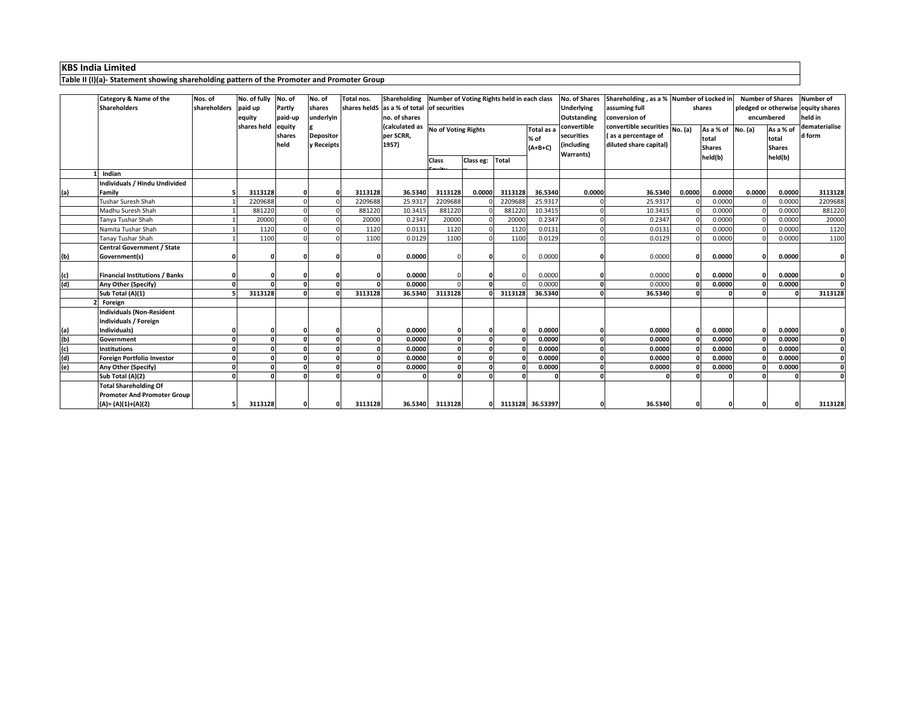**Table II (I)(a)- Statement showing shareholding pattern of the Promoter and Promoter Group**

|     | Category & Name of the<br><b>Shareholders</b> | Nos. of<br>shareholders | No. of fully<br>paid up<br>equity<br>shares held | No. of<br>Partly<br>paid-up<br>equity | No. of<br>shares<br>underlyin  | Total nos. | Shareholding Number of Voting Rights held in each class<br>shares heldS as a % of total of securities<br>no. of shares |                 |           |              |                                 | No. of Shares<br><b>Underlying</b><br><b>Outstanding</b><br>convertible | Shareholding, as a % Number of Locked in<br>assuming full<br>conversion of<br>convertible securities No. (a) |              | shares                                                 | <b>Number of Shares</b><br>pledged or otherwise equity shares<br>encumbered |                                                | <b>Number of</b><br>held in<br>dematerialise |
|-----|-----------------------------------------------|-------------------------|--------------------------------------------------|---------------------------------------|--------------------------------|------------|------------------------------------------------------------------------------------------------------------------------|-----------------|-----------|--------------|---------------------------------|-------------------------------------------------------------------------|--------------------------------------------------------------------------------------------------------------|--------------|--------------------------------------------------------|-----------------------------------------------------------------------------|------------------------------------------------|----------------------------------------------|
|     |                                               |                         |                                                  | shares<br>held                        | <b>Depositor</b><br>y Receipts |            | (calculated as No of Voting Rights<br>per SCRR,<br>1957)                                                               |                 |           |              | Total as a<br>% of<br>$(A+B+C)$ | securities<br>(including<br><b>Warrants)</b>                            | (as a percentage of<br>diluted share capital)                                                                |              | As a % of No. (a)<br>total<br><b>Shares</b><br>held(b) |                                                                             | As a % of<br>total<br><b>Shares</b><br>held(b) | d form                                       |
|     |                                               |                         |                                                  |                                       |                                |            |                                                                                                                        | <b>Class</b>    | Class eg: | <b>Total</b> |                                 |                                                                         |                                                                                                              |              |                                                        |                                                                             |                                                |                                              |
|     | Indian                                        |                         |                                                  |                                       |                                |            |                                                                                                                        |                 |           |              |                                 |                                                                         |                                                                                                              |              |                                                        |                                                                             |                                                |                                              |
|     | Individuals / Hindu Undivided                 |                         |                                                  |                                       |                                |            |                                                                                                                        |                 |           |              |                                 |                                                                         |                                                                                                              |              |                                                        |                                                                             |                                                |                                              |
| (a) | Family                                        |                         | 3113128                                          |                                       |                                | 3113128    | 36.5340                                                                                                                | 3113128         | 0.0000    | 3113128      | 36.5340                         | 0.0000                                                                  | 36.5340                                                                                                      | 0.0000       | 0.0000                                                 | 0.0000                                                                      | 0.0000                                         | 3113128                                      |
|     | <b>Tushar Suresh Shah</b>                     |                         | 2209688                                          |                                       |                                | 2209688    | 25.9317                                                                                                                | 2209688         |           | 2209688      | 25.9317                         |                                                                         | 25.9317                                                                                                      |              | 0.0000                                                 |                                                                             | 0.0000                                         | 2209688                                      |
|     | Madhu Suresh Shah                             |                         | 881220                                           |                                       |                                | 881220     | 10.3415                                                                                                                | 881220          |           | 881220       | 10.3415                         |                                                                         | 10.3415                                                                                                      |              | 0.0000                                                 |                                                                             | 0.0000                                         | 881220                                       |
|     | Tanya Tushar Shah                             |                         | 20000                                            |                                       |                                | 20000      | 0.2347                                                                                                                 | 20000           |           | 20000        | 0.2347                          |                                                                         | 0.2347                                                                                                       |              | 0.0000                                                 |                                                                             | 0.0000                                         | 20000                                        |
|     | Namita Tushar Shah                            |                         | 1120                                             |                                       |                                | 1120       | 0.0131                                                                                                                 | 1120            |           | 1120         | 0.0131                          |                                                                         | 0.0131                                                                                                       |              | 0.0000                                                 |                                                                             | 0.0000                                         | 1120                                         |
|     | <b>Tanay Tushar Shah</b>                      |                         | 1100                                             |                                       |                                | 1100       | 0.0129                                                                                                                 | 1100            |           | 1100         | 0.0129                          | $\Omega$                                                                | 0.0129                                                                                                       |              | 0.0000                                                 |                                                                             | 0.0000                                         | 1100                                         |
|     | <b>Central Government / State</b>             |                         |                                                  |                                       |                                |            |                                                                                                                        |                 |           |              |                                 |                                                                         |                                                                                                              |              |                                                        |                                                                             |                                                |                                              |
| (b) | Government(s)                                 |                         |                                                  |                                       |                                |            | 0.0000                                                                                                                 |                 |           |              | 0.0000                          |                                                                         | 0.0000                                                                                                       |              | 0.0000                                                 |                                                                             | 0.0000                                         | 0                                            |
|     |                                               |                         |                                                  |                                       |                                |            |                                                                                                                        |                 |           |              |                                 |                                                                         |                                                                                                              |              |                                                        |                                                                             |                                                |                                              |
| (c) | <b>Financial Institutions / Banks</b>         |                         |                                                  |                                       |                                |            | 0.0000                                                                                                                 |                 |           |              | 0.0000                          |                                                                         | 0.0000                                                                                                       |              | 0.0000                                                 |                                                                             | 0.0000                                         |                                              |
| (d) | Any Other (Specify)                           | $\Omega$                |                                                  |                                       |                                |            | 0.0000                                                                                                                 |                 |           |              | 0.0000                          |                                                                         | 0.0000                                                                                                       |              | 0.0000                                                 |                                                                             | 0.0000                                         | $\Omega$                                     |
|     | Sub Total (A)(1)                              |                         | 3113128                                          |                                       |                                | 3113128    | 36.5340                                                                                                                | 3113128         |           | 3113128      | 36.5340                         |                                                                         | 36.5340                                                                                                      |              |                                                        |                                                                             |                                                | 3113128                                      |
|     | Foreign                                       |                         |                                                  |                                       |                                |            |                                                                                                                        |                 |           |              |                                 |                                                                         |                                                                                                              |              |                                                        |                                                                             |                                                |                                              |
|     | <b>Individuals (Non-Resident</b>              |                         |                                                  |                                       |                                |            |                                                                                                                        |                 |           |              |                                 |                                                                         |                                                                                                              |              |                                                        |                                                                             |                                                |                                              |
|     | ndividuals / Foreign                          |                         |                                                  |                                       |                                |            |                                                                                                                        |                 |           |              |                                 |                                                                         |                                                                                                              |              |                                                        |                                                                             |                                                |                                              |
| (a) | Individuals)                                  |                         |                                                  |                                       |                                |            | 0.0000                                                                                                                 |                 |           |              | 0.0000                          |                                                                         | 0.0000                                                                                                       |              | 0.0000                                                 |                                                                             | 0.0000                                         |                                              |
| (b) | Government                                    | $\Omega$                |                                                  |                                       |                                |            | 0.0000                                                                                                                 |                 |           |              | 0.0000                          |                                                                         | 0.0000                                                                                                       | $\mathbf{r}$ | 0.0000                                                 |                                                                             | 0.0000                                         | $\Omega$                                     |
| (c) | <b>Institutions</b>                           | $\Omega$                | $\Omega$                                         |                                       |                                | 0.         | 0.0000                                                                                                                 |                 |           |              | 0.0000                          | $\Omega$                                                                | 0.0000                                                                                                       | $\mathbf{r}$ | 0.0000                                                 |                                                                             | 0.0000                                         | $\Omega$                                     |
| (d) | Foreign Portfolio Investor                    | $\Omega$                | n                                                |                                       |                                |            | 0.0000                                                                                                                 |                 |           |              | 0.0000                          | $\Omega$                                                                | 0.0000                                                                                                       | $\mathbf{r}$ | 0.0000                                                 |                                                                             | 0.0000                                         | $\mathbf{0}$                                 |
| (e) | Any Other (Specify)                           | $\mathbf{0}$            | $\Omega$                                         |                                       |                                |            | 0.0000                                                                                                                 |                 |           |              | 0.0000                          | 0                                                                       | 0.0000                                                                                                       | $\sqrt{2}$   | 0.0000                                                 |                                                                             | 0.0000                                         | $\Omega$                                     |
|     | Sub Total (A)(2)                              | $\Omega$                |                                                  |                                       |                                |            |                                                                                                                        |                 |           |              |                                 |                                                                         |                                                                                                              |              |                                                        |                                                                             |                                                |                                              |
|     | <b>Total Shareholding Of</b>                  |                         |                                                  |                                       |                                |            |                                                                                                                        |                 |           |              |                                 |                                                                         |                                                                                                              |              |                                                        |                                                                             |                                                |                                              |
|     | <b>Promoter And Promoter Group</b>            |                         |                                                  |                                       |                                |            |                                                                                                                        |                 |           |              |                                 |                                                                         |                                                                                                              |              |                                                        |                                                                             |                                                |                                              |
|     | (A)= (A)(1)+(A)(2)                            |                         | 3113128                                          |                                       |                                | 3113128    |                                                                                                                        | 36.5340 3113128 |           |              | 3113128 36.53397                |                                                                         | 36.5340                                                                                                      |              |                                                        |                                                                             |                                                | 3113128                                      |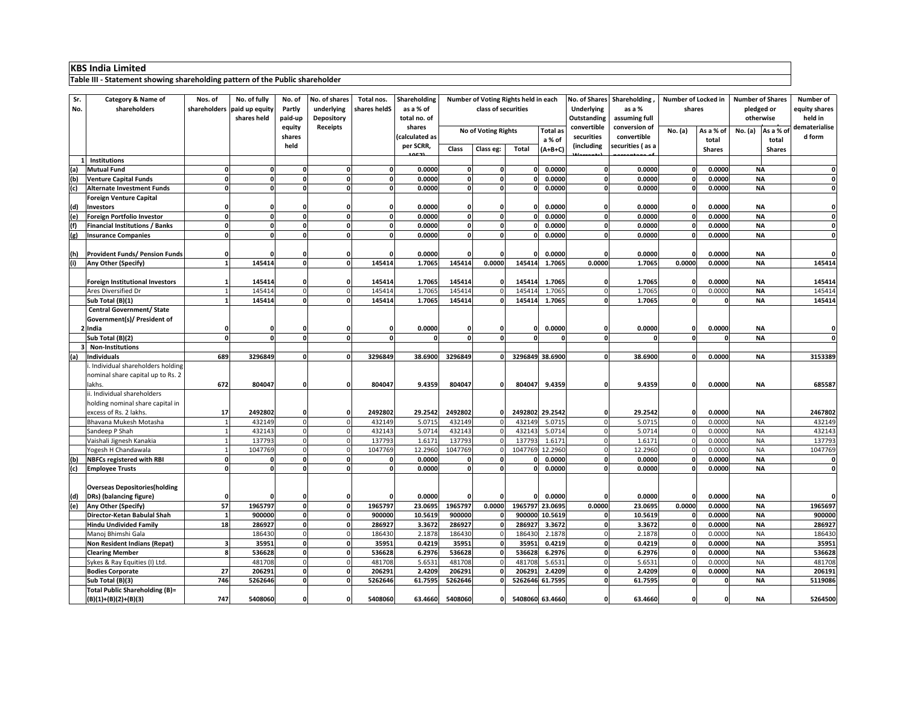#### **Table III - Statement showing shareholding pattern of the Public shareholder**

| Sr. | Category & Name of                         | Nos. of                 | No. of fully                | No. of   | No. of shares            | Total nos.       | Shareholding     | Number of Voting Rights held in each   |              |                  | No. of Shares               | Shareholding            | Number of Locked in |              | <b>Number of Shares</b> | Number of              |                  |
|-----|--------------------------------------------|-------------------------|-----------------------------|----------|--------------------------|------------------|------------------|----------------------------------------|--------------|------------------|-----------------------------|-------------------------|---------------------|--------------|-------------------------|------------------------|------------------|
| No. | shareholders                               |                         | shareholders paid up equity | Partly   | underlying               | shares heldS     | as a % of        | class of securities                    |              |                  | <b>Underlying</b><br>as a % |                         | shares              |              | pledged or              | equity shares          |                  |
|     |                                            |                         | shares held                 | paid-up  | Depository               |                  | total no. of     |                                        |              |                  | Outstanding                 | assuming full           |                     |              | otherwise               | held in                |                  |
|     |                                            |                         |                             | equity   | Receipts                 |                  | shares           | No of Voting Rights<br><b>Total</b> as |              |                  | convertible                 | conversion of           | No. (a)             | As a % of    | No. (a)<br>As a % of    | dematerialise          |                  |
|     |                                            |                         |                             | shares   |                          |                  | calculated as    | a % of                                 |              | securities       | convertible                 |                         | total               | total        | d form                  |                        |                  |
|     |                                            |                         |                             | held     |                          |                  | per SCRR,        | Class                                  | Class eg:    | <b>Total</b>     | $(A+B+C)$                   | (including              | securities (as a    |              | <b>Shares</b>           | <b>Shares</b>          |                  |
|     | Institutions                               |                         |                             |          |                          |                  |                  |                                        |              |                  |                             |                         |                     |              |                         |                        |                  |
| (a) | <b>Mutual Fund</b>                         | 0                       | 0                           | ŋ        | 0                        | 0                | 0.0000           | O                                      | $\mathbf{0}$ | 0                | 0.0000                      | 0                       | 0.0000              | $\Omega$     | 0.0000                  | <b>NA</b>              | $\mathbf{0}$     |
| (b) | <b>Venture Capital Funds</b>               | n                       |                             |          | $\Omega$                 |                  | 0.0000           | n                                      | $\Omega$     |                  | 0.0000                      | $\Omega$                | 0.0000              |              | 0.0000                  | <b>NA</b>              | $\mathbf{0}$     |
| (c) | <b>Alternate Investment Funds</b>          | O.                      |                             |          | $\Omega$                 | $\Omega$         | 0.0000           | <sub>n</sub>                           | $\Omega$     |                  | 0.0000                      | $\Omega$                | 0.0000              |              | 0.0000                  | <b>NA</b>              | $\Omega$         |
|     | <b>Foreign Venture Capital</b>             |                         |                             |          |                          |                  |                  |                                        |              |                  |                             |                         |                     |              |                         |                        |                  |
| (d) | <b>Investors</b>                           | n                       |                             |          | n                        |                  | 0.0000           |                                        | $\mathbf{0}$ |                  | 0.0000                      | 0                       | 0.0000              | ſ            | 0.0000                  | <b>NA</b>              | $\mathbf{0}$     |
| (e) | Foreign Portfolio Investor                 | $\Omega$                |                             | O        | $\Omega$                 | $\Omega$         | 0.0000           | 0                                      | $\mathbf{o}$ |                  | 0.0000                      | $\Omega$                | 0.0000              |              | 0.0000                  | <b>NA</b>              | $\mathbf{0}$     |
| (f) | <b>Financial Institutions / Banks</b>      | 0                       |                             | $\Omega$ | 0                        | <sub>0</sub>     | 0.0000           | O.                                     | $\mathbf 0$  |                  | 0.0000                      | $\mathbf{0}$            | 0.0000              |              | 0.0000                  | <b>NA</b>              | $\mathbf{0}$     |
| (g) | <b>Insurance Companies</b>                 | $\Omega$                |                             | O        | $\Omega$                 | $\Omega$         | 0.0000           | $\Omega$                               | $\Omega$     |                  | 0.0000                      | $\Omega$                | 0.0000              | $\mathbf{r}$ | 0.0000                  | <b>NA</b>              | $\mathbf 0$      |
|     |                                            |                         |                             |          |                          |                  |                  |                                        |              |                  |                             |                         |                     |              |                         |                        |                  |
| (h) | <b>Provident Funds/ Pension Funds</b>      | O                       |                             |          | 0                        |                  | 0.0000           |                                        | $\Omega$     |                  | 0.0000                      |                         | 0.0000              |              | 0.0000                  | <b>NA</b>              | $\Omega$         |
|     | Any Other (Specify)                        | 1                       | 145414                      | $\Omega$ | $\mathbf{0}$             | 145414           | 1.7065           | 145414                                 | 0.0000       | 145414           | 1.7065                      | 0.0000                  | 1.7065              | 0.0000       | 0.0000                  | <b>NA</b>              | 145414           |
|     |                                            |                         |                             |          |                          |                  |                  |                                        |              |                  |                             |                         |                     |              |                         |                        |                  |
|     | <b>Foreign Institutional Investors</b>     | $\mathbf{1}$            | 145414                      |          | $\Omega$                 | 145414           | 1.7065           | 145414                                 | $\Omega$     | 14541            | 1.7065                      | $\mathbf 0$             | 1.7065              |              | 0.0000                  | <b>NA</b>              | 145414           |
|     | Ares Diversified Dr                        |                         | 14541                       |          | $\Omega$                 | 14541            | 1.7065           | 145414                                 |              | 14541            | 1.7065                      | $\epsilon$              | 1.7065              |              | 0.000                   | <b>NA</b>              | 145414           |
|     | Sub Total (B)(1)                           | $\mathbf{1}$            | 145414                      | $\Omega$ | $\mathbf{0}$             | 145414           | 1.7065           | 145414                                 | $\mathbf{0}$ | 145414           | 1.7065                      | $\mathbf{0}$            | 1.7065              | $\mathbf 0$  |                         | <b>NA</b>              | 145414           |
|     | Central Government/ State                  |                         |                             |          |                          |                  |                  |                                        |              |                  |                             |                         |                     |              |                         |                        |                  |
|     | Government(s)/ President of                |                         |                             |          |                          |                  |                  |                                        |              |                  |                             |                         |                     |              |                         |                        |                  |
|     | India                                      | 0                       |                             |          |                          |                  | 0.0000           |                                        | 0            |                  | 0.0000                      | 0                       | 0.0000              | C            | 0.0000                  | <b>NA</b>              |                  |
|     | Sub Total (B)(2)                           | $\Omega$                |                             | O        | $\Omega$                 |                  |                  | n                                      | $\Omega$     |                  |                             | $\mathbf 0$             |                     | $\Omega$     |                         | <b>NA</b>              |                  |
|     | <b>Non-Institutions</b>                    |                         |                             |          |                          |                  |                  |                                        |              |                  |                             |                         |                     |              |                         |                        |                  |
| (a) | <b>Individuals</b>                         | 689                     | 3296849                     |          | 0                        | 3296849          | 38.6900          | 3296849                                |              |                  | 3296849 38.6900             | $\Omega$                | 38.6900             | $\sqrt{2}$   | 0.0000                  | <b>NA</b>              | 3153389          |
|     | Individual shareholders holding            |                         |                             |          |                          |                  |                  |                                        |              |                  |                             |                         |                     |              |                         |                        |                  |
|     | nominal share capital up to Rs. 2          |                         |                             |          |                          |                  |                  |                                        |              |                  |                             |                         |                     |              |                         |                        |                  |
|     | lakhs.                                     | 672                     | 804047                      |          | 0                        | 804047           | 9.4359           | 804047                                 | $\mathbf 0$  | 804047           | 9.4359                      | 0                       | 9.4359              | $\Omega$     | 0.0000                  | <b>NA</b>              | 685587           |
|     | ii. Individual shareholders                |                         |                             |          |                          |                  |                  |                                        |              |                  |                             |                         |                     |              |                         |                        |                  |
|     | holding nominal share capital in           |                         |                             |          |                          |                  |                  |                                        |              |                  |                             |                         |                     |              |                         |                        |                  |
|     | excess of Rs. 2 lakhs.                     | 17                      | 2492802                     |          | 0                        | 2492802          | 29.2542          | 2492802                                |              |                  | 2492802 29.2542             | $\mathbf{0}$            | 29.2542             | $\Omega$     | 0.0000                  | <b>NA</b>              | 2467802          |
|     | Bhavana Mukesh Motasha                     | $\mathbf{1}$            | 432149                      |          | $\Omega$                 | 432149           | 5.0715           | 432149                                 |              | 432149           | 5.071                       | $\Omega$                | 5.0715              |              | 0.000                   | <b>NA</b>              | 432149           |
|     | Sandeep P Shah<br>Vaishali Jignesh Kanakia | $\mathbf{1}$            | 432143<br>137793            | $\Omega$ | $\Omega$<br>$\mathbf{0}$ | 432143<br>137793 | 5.0714<br>1.6171 | 43214<br>137793                        |              | 432143<br>137793 | 5.071<br>1.617              | $\Omega$<br>$\mathbf 0$ | 5.0714<br>1.6171    |              | 0.000<br>0.000          | <b>NA</b><br><b>NA</b> | 432143<br>137793 |
|     | Yogesh H Chandawala                        | $\mathbf{1}$            | 1047769                     |          | $\mathbf 0$              | 1047769          | 12.2960          | 1047769                                |              | 1047769          | 12.2960                     | $\Omega$                | 12.2960             |              | 0.000                   | <b>NA</b>              | 1047769          |
| (b) | <b>NBFCs registered with RBI</b>           | 0                       |                             | O        | $\Omega$                 | $\Omega$         | 0.0000           | U                                      | $\mathbf 0$  |                  | 0.0000                      | $\Omega$                | 0.0000              |              | 0.0000                  | <b>NA</b>              | $\mathbf 0$      |
| (c) | <b>Employee Trusts</b>                     | 0                       |                             |          | $\Omega$                 | $\Omega$         | 0.0000           | n                                      | $\Omega$     |                  | 0.0000                      | $\Omega$                | 0.0000              |              | 0.0000                  | <b>NA</b>              | $\Omega$         |
|     |                                            |                         |                             |          |                          |                  |                  |                                        |              |                  |                             |                         |                     |              |                         |                        |                  |
|     | <b>Overseas Depositories(holding</b>       |                         |                             |          |                          |                  |                  |                                        |              |                  |                             |                         |                     |              |                         |                        |                  |
| (d) | DRs) (balancing figure)                    | n                       |                             |          | O                        |                  | 0.0000           |                                        |              |                  | 0.0000                      | O                       | 0.0000              |              | 0.0000                  | <b>NA</b>              |                  |
| (e) | Any Other (Specify)                        | 57                      | 1965797                     | O        | 0                        | 1965797          | 23.0695          | 1965797                                | 0.0000       | 1965797          | 23.0695                     | 0.0000                  | 23.0695             | 0.0000       | 0.0000                  | <b>NA</b>              | 1965697          |
|     | Director-Ketan Babulal Shah                | $\mathbf{1}$            | 900000                      | 0        | $\mathbf 0$              | 900000           | 10.5619          | 900000                                 |              | 900000           | 10.5619                     | 0                       | 10.5619             |              | 0.000                   | <b>NA</b>              | 900000           |
|     | <b>Hindu Undivided Family</b>              | 18                      | 286927                      | $\Omega$ | $\mathbf{0}$             | 286927           | 3.3672           | 286927                                 |              | 286927           | 3.3672                      | $\mathbf 0$             | 3.3672              |              | 0.0000                  | <b>NA</b>              | 286927           |
|     | Manoj Bhimshi Gala                         |                         | 186430                      |          | $\Omega$                 | 186430           | 2.1878           | 186430                                 |              | 18643            | 2.1878                      | $\Omega$                | 2.1878              |              | 0.0000                  | <b>NA</b>              | 186430           |
|     | Non Resident Indians (Repat)               | $\overline{\mathbf{3}}$ | 35951                       | $\Omega$ | $\mathbf{o}$             | 35951            | 0.4219           | 3595                                   |              | 3595             | 0.4219                      | $\mathbf 0$             | 0.4219              | - 0          | 0.0000                  | <b>NA</b>              | 35951            |
|     | <b>Clearing Member</b>                     | 8                       | 536628                      | ol       | $\mathbf{0}$             | 536628           | 6.2976           | 536628                                 |              | 536628           | 6.2976                      | $\mathbf{0}$            | 6.2976              | $\mathbf{r}$ | 0.0000                  | <b>NA</b>              | 536628           |
|     | Sykes & Ray Equities (I) Ltd.              |                         | 481708                      |          | $\Omega$                 | 481708           | 5.6531           | 481708                                 |              | 48170            | 5.653                       | $\Omega$                | 5.6531              |              | 0.0000                  | <b>NA</b>              | 481708           |
|     | <b>Bodies Corporate</b>                    | 27                      | 206291                      | O        | $\mathbf{0}$             | 206291           | 2.4209           | 206291                                 |              | 20629            | 2.4209                      | 0                       | 2.4209              |              | 0.0000                  | <b>NA</b>              | 206191           |
|     | Sub Total (B)(3)                           | 746                     | 5262646                     | ΩI       | $\mathbf{0}$             | 5262646          | 61.7595          | 5262646                                |              | 5262646          | 61.7595                     | 0                       | 61.7595             | $\Omega$     |                         | <b>NA</b>              | 5119086          |
|     | Total Public Shareholding (B)=             |                         |                             |          |                          |                  |                  |                                        |              |                  |                             |                         |                     |              |                         |                        |                  |
|     | (B)(1)+(B)(2)+(B)(3)                       | 747                     | 5408060                     |          | 0                        | 5408060          | 63.4660          | 5408060                                | $\mathbf{0}$ |                  | 5408060 63.4660             | 0                       | 63.4660             |              |                         | ΝA                     | 5264500          |